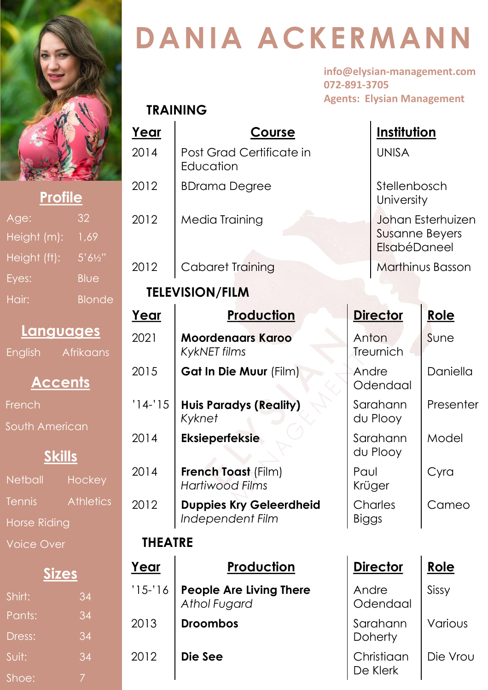

**TRAINING**

#### **Profile Profile**

| Age:         | 32            |
|--------------|---------------|
| Height (m):  | 1,69          |
| Height (ft): | 5'61/2''      |
| Eyes:        | Blue          |
| Hair:        | <b>Blonde</b> |

### **Languages**

English Afrikaans

# **Accents**

French

South American

## **Skills**

Netball Hockey Tennis Athletics Horse Riding Voice Over

## **Sizes**

| Shirt: | $\overline{34}$ |
|--------|-----------------|
| Pants: | 34              |
| Dress: | 34              |
| Suit:  | 34              |
| Shoe:  |                 |

# **DANIA ACKERMANN**

**info@elysian-management.com 072-891-3705 Agents: Elysian Management**

| Year           | <u>Course</u>                                      |                         | <u>Institution</u>         |                                                            |  |
|----------------|----------------------------------------------------|-------------------------|----------------------------|------------------------------------------------------------|--|
| 2014           | Post Grad Certificate in<br>Education              | <b>UNISA</b>            |                            |                                                            |  |
| 2012           | <b>BDrama Degree</b>                               |                         | Stellenbosch<br>University |                                                            |  |
| 2012           | Media Training                                     |                         |                            | Johan Esterhuizen<br><b>Susanne Beyers</b><br>ElsabéDaneel |  |
| 2012           | Cabaret Training                                   |                         |                            | Marthinus Basson                                           |  |
|                | <b>TELEVISION/FILM</b>                             |                         |                            |                                                            |  |
| Year           | <b>Production</b>                                  |                         | <b>Director</b>            | Role                                                       |  |
| 2021           | <b>Moordenaars Karoo</b><br><b>KykNET</b> films    | Anton<br>Treurnich      |                            | Sune                                                       |  |
| 2015           | <b>Gat In Die Muur (Film)</b>                      | Andre<br>Odendaal       |                            | Daniella                                                   |  |
| $'14-'15$      | <b>Huis Paradys (Reality)</b><br>Kyknet            | Sarahann<br>du Plooy    |                            | Presenter                                                  |  |
| 2014           | <b>Eksieperfeksie</b>                              | Sarahann<br>du Plooy    |                            | Model                                                      |  |
| 2014           | <b>French Toast (Film)</b><br>Hartiwood Films      | Paul<br>Krüger          |                            | Cyra                                                       |  |
| 2012           | <b>Duppies Kry Geleerdheid</b><br>Independent Film | Charles<br><b>Biggs</b> |                            | Cameo                                                      |  |
| <b>THEATRE</b> |                                                    |                         |                            |                                                            |  |
| <u>Year</u>    | <u>Production</u>                                  |                         | <b>Director</b>            | <u>Role</u>                                                |  |
| $'15-16$       | People Are Living There<br>Athol Fugard            | Andre                   | Odendaal                   | Sissy                                                      |  |
| 2013           | <b>Droombos</b>                                    | Sarahann<br>Doherty     |                            | Various                                                    |  |
| 2012           | Die See                                            |                         | Christiaan<br>De Klerk     | Die Vrou                                                   |  |